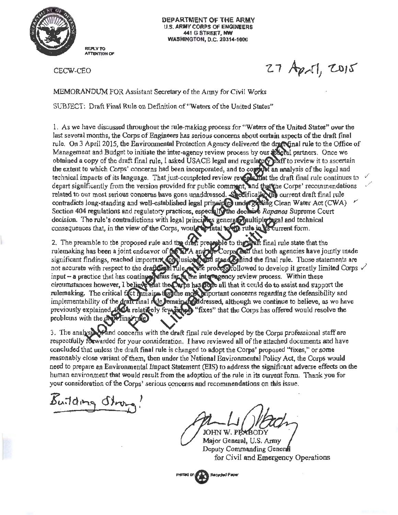

DEPARTMENT OF THE ARMY U.S. ARMY CORPS OF ENGINEERS 441 G STREET, NW **WASHINGTON, D.C. 20314-1000** 

CBCW-CEO

 $27$  April, 2015

MEMORANDUM FOR Assistant Secretary of the Almy for Civil Works

SUBJECT: Draft Final Rule on Definition of"Waters of the United States"

1. As we have discussed throughout the rule-making process for "Waters of the United States" over the last several months, the Corps of Engineers has serious concerns about certain aspects of the draft final rule. On 3 April 2015, the Environmental Protection Agency delivered the draft linal rule to the Office of Management and Budget to initiate the inter-agency review process by our **Pose** al partners. Once we obtained a copy of the draft final rule, I asked USACE legal and regulatory that to review it to ascertain the extent to which Corps' concerns had been incorporated, and to concurs an analysis of the legal and technical impacts of its language. That just-completed review reveals that the draft final rule continues to depart significantly from the version provided for public comment, and that the Corps' recommendations related to our most serious concerns have gone unaddressed. Sectifically the current draft final rule contradicts long-standing and well-established legal pripaires under grading Clean Water Act (CWA)  $\sim$ Section 404 regulations and regulatory practices, espec**tally the declaire** *Rapanos* Supreme Court decision. The rule's contradictions with legal principles general squiltiple pagal and technical consequences that, in the view of the Corps, would write that to in the in the current form.

*f* 2. The preamble to the proposed rule and the dian pressuble to the wall final rule state that the rulemaking has been a joint endeavor of the KPA and the Corps and that both agencies have jointly made significant findings, reached important on lusions, and stand statements are inal rule. Those statements are input  $-$  a practice that has continuely thus far is the interagency review process. Within these circumstances however, I believe that the Curps has gone all that it could do to assist and support the rulemaking. The critical fict femains than the most happortant concerns regarding the defensibility and implementability of the draft rinal rule remains addressed, although we continue to helieve, as we have previously explained that relatively fey sides" that the Corps has offered would resolve the implementability of the draft final rule Jernain<br>previously explained dicta relatively feuring<br>problems with the diversing rule

3. The analysportand concerns with the draft final rule developed by the Corps professional staff are respectfully forwarded for your consideration. I have reviewed all of the attached documents and have concluded that unless the draft final rule is changed to adopt the Corps' proposed "fixes," or some reasonably close variant of them, then under the National Environmental Policy Act, the Corps would need to prepare an Environmental Iinpact Statement (EIS) to address the significant adverse effects on the human environment that would result from the adoption of the rule in its current fonn. Thank you for your consideration of the Corps' serious concerns and recommendations on this issue.

Building Stree

JOHN W. PE

Major General, U.S. Army Deputy Commanding General for Civil and Emergency Operations

Printed on  $\sqrt{\frac{1}{n}}$ **Recycled Paper**